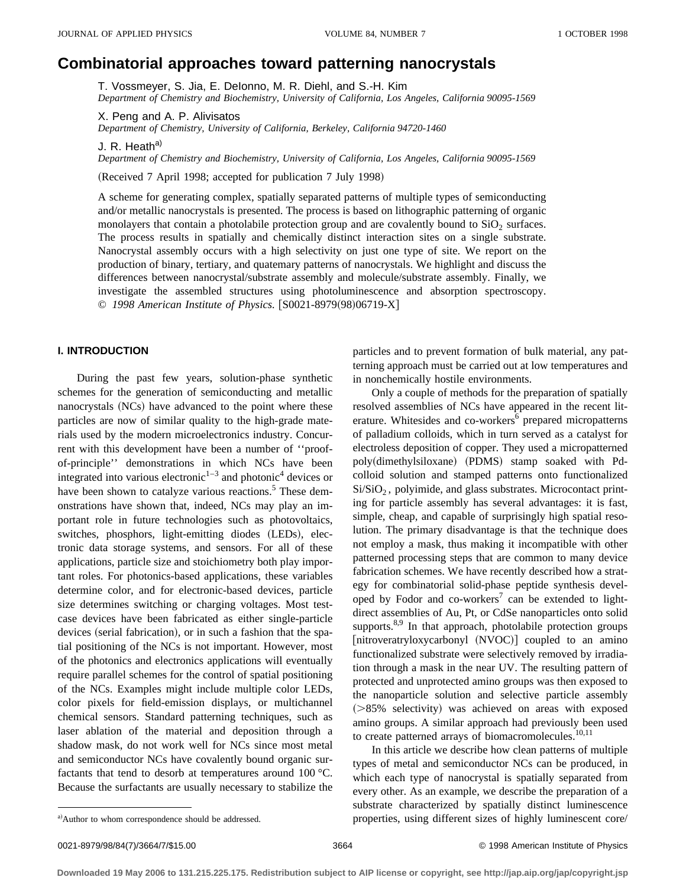# **Combinatorial approaches toward patterning nanocrystals**

T. Vossmeyer, S. Jia, E. DeIonno, M. R. Diehl, and S.-H. Kim *Department of Chemistry and Biochemistry, University of California, Los Angeles, California 90095-1569*

X. Peng and A. P. Alivisatos

*Department of Chemistry, University of California, Berkeley, California 94720-1460*

J. R. Heath<sup>a)</sup>

*Department of Chemistry and Biochemistry, University of California, Los Angeles, California 90095-1569*

(Received 7 April 1998; accepted for publication 7 July 1998)

A scheme for generating complex, spatially separated patterns of multiple types of semiconducting and/or metallic nanocrystals is presented. The process is based on lithographic patterning of organic monolayers that contain a photolabile protection group and are covalently bound to  $SiO<sub>2</sub>$  surfaces. The process results in spatially and chemically distinct interaction sites on a single substrate. Nanocrystal assembly occurs with a high selectivity on just one type of site. We report on the production of binary, tertiary, and quatemary patterns of nanocrystals. We highlight and discuss the differences between nanocrystal/substrate assembly and molecule/substrate assembly. Finally, we investigate the assembled structures using photoluminescence and absorption spectroscopy. © 1998 American Institute of Physics. [S0021-8979(98)06719-X]

# **I. INTRODUCTION**

During the past few years, solution-phase synthetic schemes for the generation of semiconducting and metallic nanocrystals (NCs) have advanced to the point where these particles are now of similar quality to the high-grade materials used by the modern microelectronics industry. Concurrent with this development have been a number of ''proofof-principle'' demonstrations in which NCs have been integrated into various electronic<sup>1–3</sup> and photonic<sup>4</sup> devices or have been shown to catalyze various reactions.<sup>5</sup> These demonstrations have shown that, indeed, NCs may play an important role in future technologies such as photovoltaics, switches, phosphors, light-emitting diodes (LEDs), electronic data storage systems, and sensors. For all of these applications, particle size and stoichiometry both play important roles. For photonics-based applications, these variables determine color, and for electronic-based devices, particle size determines switching or charging voltages. Most testcase devices have been fabricated as either single-particle devices (serial fabrication), or in such a fashion that the spatial positioning of the NCs is not important. However, most of the photonics and electronics applications will eventually require parallel schemes for the control of spatial positioning of the NCs. Examples might include multiple color LEDs, color pixels for field-emission displays, or multichannel chemical sensors. Standard patterning techniques, such as laser ablation of the material and deposition through a shadow mask, do not work well for NCs since most metal and semiconductor NCs have covalently bound organic surfactants that tend to desorb at temperatures around 100 °C. Because the surfactants are usually necessary to stabilize the

particles and to prevent formation of bulk material, any patterning approach must be carried out at low temperatures and in nonchemically hostile environments.

Only a couple of methods for the preparation of spatially resolved assemblies of NCs have appeared in the recent literature. Whitesides and co-workers<sup>6</sup> prepared micropatterns of palladium colloids, which in turn served as a catalyst for electroless deposition of copper. They used a micropatterned poly(dimethylsiloxane) (PDMS) stamp soaked with Pdcolloid solution and stamped patterns onto functionalized Si/SiO<sub>2</sub>, polyimide, and glass substrates. Microcontact printing for particle assembly has several advantages: it is fast, simple, cheap, and capable of surprisingly high spatial resolution. The primary disadvantage is that the technique does not employ a mask, thus making it incompatible with other patterned processing steps that are common to many device fabrication schemes. We have recently described how a strategy for combinatorial solid-phase peptide synthesis developed by Fodor and co-workers<sup>7</sup> can be extended to lightdirect assemblies of Au, Pt, or CdSe nanoparticles onto solid supports.<sup>8,9</sup> In that approach, photolabile protection groups [nitroveratryloxycarbonyl (NVOC)] coupled to an amino functionalized substrate were selectively removed by irradiation through a mask in the near UV. The resulting pattern of protected and unprotected amino groups was then exposed to the nanoparticle solution and selective particle assembly  $($ >85% selectivity) was achieved on areas with exposed amino groups. A similar approach had previously been used to create patterned arrays of biomacromolecules.<sup>10,11</sup>

In this article we describe how clean patterns of multiple types of metal and semiconductor NCs can be produced, in which each type of nanocrystal is spatially separated from every other. As an example, we describe the preparation of a substrate characterized by spatially distinct luminescence properties, using different sizes of highly luminescent core/

a) Author to whom correspondence should be addressed.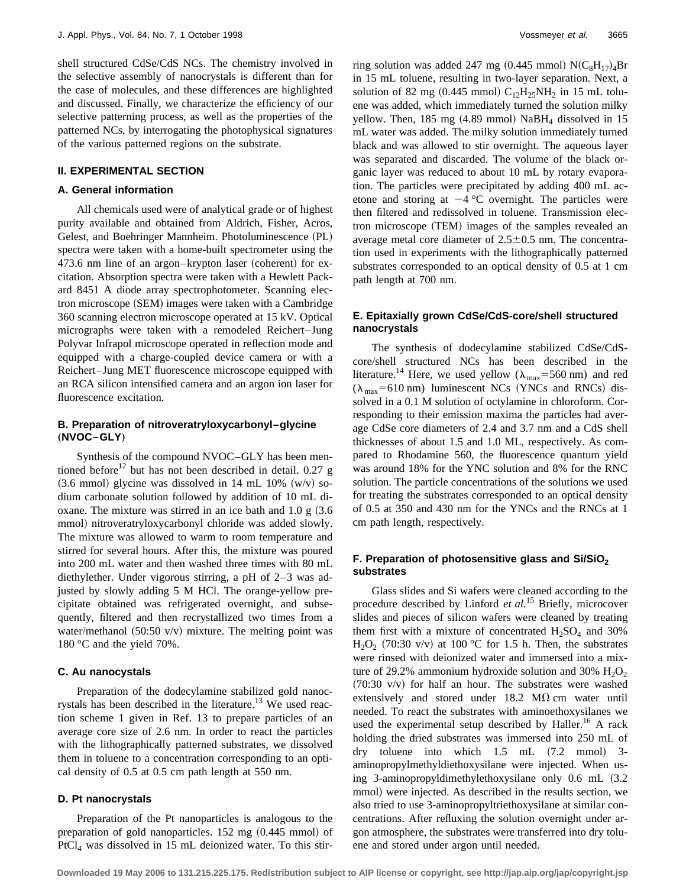shell structured CdSe/CdS NCs. The chemistry involved in the selective assembly of nanocrystals is different than for the case of molecules, and these differences are highlighted and discussed. Finally, we characterize the efficiency of our selective patterning process, as well as the properties of the patterned NCs, by interrogating the photophysical signatures of the various patterned regions on the substrate.

#### **II. EXPERIMENTAL SECTION**

#### **A. General information**

All chemicals used were of analytical grade or of highest purity available and obtained from Aldrich, Fisher, Acros, Gelest, and Boehringer Mannheim. Photoluminescence (PL) spectra were taken with a home-built spectrometer using the 473.6 nm line of an argon–krypton laser (coherent) for excitation. Absorption spectra were taken with a Hewlett Packard 8451 A diode array spectrophotometer. Scanning electron microscope (SEM) images were taken with a Cambridge 360 scanning electron microscope operated at 15 kV. Optical micrographs were taken with a remodeled Reichert–Jung Polyvar Infrapol microscope operated in reflection mode and equipped with a charge-coupled device camera or with a Reichert–Jung MET fluorescence microscope equipped with an RCA silicon intensified camera and an argon ion laser for fluorescence excitation.

## **B. Preparation of nitroveratryloxycarbonyl–glycine** "**NVOC–GLY**…

Synthesis of the compound NVOC–GLY has been mentioned before<sup>12</sup> but has not been described in detail. 0.27 g  $(3.6 \text{ mmol})$  glycine was dissolved in 14 mL 10%  $(w/v)$  sodium carbonate solution followed by addition of 10 mL dioxane. The mixture was stirred in an ice bath and  $1.0 \text{ g } (3.6$ mmol) nitroveratryloxycarbonyl chloride was added slowly. The mixture was allowed to warm to room temperature and stirred for several hours. After this, the mixture was poured into 200 mL water and then washed three times with 80 mL diethylether. Under vigorous stirring, a pH of 2–3 was adjusted by slowly adding 5 M HCl. The orange-yellow precipitate obtained was refrigerated overnight, and subsequently, filtered and then recrystallized two times from a water/methanol  $(50:50 \text{ v/v})$  mixture. The melting point was 180 °C and the yield 70%.

## **C. Au nanocystals**

Preparation of the dodecylamine stabilized gold nanocrystals has been described in the literature.<sup>13</sup> We used reaction scheme 1 given in Ref. 13 to prepare particles of an average core size of 2.6 nm. In order to react the particles with the lithographically patterned substrates, we dissolved them in toluene to a concentration corresponding to an optical density of 0.5 at 0.5 cm path length at 550 nm.

## **D. Pt nanocrystals**

Preparation of the Pt nanoparticles is analogous to the preparation of gold nanoparticles.  $152 \text{ mg}$   $(0.445 \text{ mmol})$  of PtCl4 was dissolved in 15 mL deionized water. To this stirring solution was added 247 mg  $(0.445 \text{ mmol}) \text{ N}(\text{C}_8\text{H}_{17})_4\text{Br}$ in 15 mL toluene, resulting in two-layer separation. Next, a solution of 82 mg (0.445 mmol)  $C_{12}H_{25}NH_2$  in 15 mL toluene was added, which immediately turned the solution milky yellow. Then, 185 mg  $(4.89 \text{ mmol})$  NaBH<sub>4</sub> dissolved in 15 mL water was added. The milky solution immediately turned black and was allowed to stir overnight. The aqueous layer was separated and discarded. The volume of the black organic layer was reduced to about 10 mL by rotary evaporation. The particles were precipitated by adding 400 mL acetone and storing at  $-4$  °C overnight. The particles were then filtered and redissolved in toluene. Transmission electron microscope (TEM) images of the samples revealed an average metal core diameter of  $2.5\pm0.5$  nm. The concentration used in experiments with the lithographically patterned substrates corresponded to an optical density of 0.5 at 1 cm path length at 700 nm.

## **E. Epitaxially grown CdSe/CdS-core/shell structured nanocrystals**

The synthesis of dodecylamine stabilized CdSe/CdScore/shell structured NCs has been described in the literature.<sup>14</sup> Here, we used yellow ( $\lambda_{\text{max}}$ =560 nm) and red  $(\lambda_{\text{max}}=610 \text{ nm})$  luminescent NCs (YNCs and RNCs) dissolved in a 0.1 M solution of octylamine in chloroform. Corresponding to their emission maxima the particles had average CdSe core diameters of 2.4 and 3.7 nm and a CdS shell thicknesses of about 1.5 and 1.0 ML, respectively. As compared to Rhodamine 560, the fluorescence quantum yield was around 18% for the YNC solution and 8% for the RNC solution. The particle concentrations of the solutions we used for treating the substrates corresponded to an optical density of 0.5 at 350 and 430 nm for the YNCs and the RNCs at 1 cm path length, respectively.

# **F. Preparation of photosensitive glass and Si/SiO<sub>2</sub> substrates**

Glass slides and Si wafers were cleaned according to the procedure described by Linford *et al.*<sup>15</sup> Briefly, microcover slides and pieces of silicon wafers were cleaned by treating them first with a mixture of concentrated  $H_2SO_4$  and 30%  $H<sub>2</sub>O<sub>2</sub>$  (70:30 v/v) at 100 °C for 1.5 h. Then, the substrates were rinsed with deionized water and immersed into a mixture of 29.2% ammonium hydroxide solution and 30%  $H_2O_2$  $(70:30 \text{ v/v})$  for half an hour. The substrates were washed extensively and stored under  $18.2 \text{ M}\Omega \text{ cm}$  water until needed. To react the substrates with aminoethoxysilanes we used the experimental setup described by Haller.<sup>16</sup> A rack holding the dried substrates was immersed into 250 mL of dry toluene into which 1.5 mL  $(7.2 \text{ mmol})$  3aminopropylmethyldiethoxysilane were injected. When using 3-aminopropyldimethylethoxysilane only 0.6 mL (3.2) mmol) were injected. As described in the results section, we also tried to use 3-aminopropyltriethoxysilane at similar concentrations. After refluxing the solution overnight under argon atmosphere, the substrates were transferred into dry toluene and stored under argon until needed.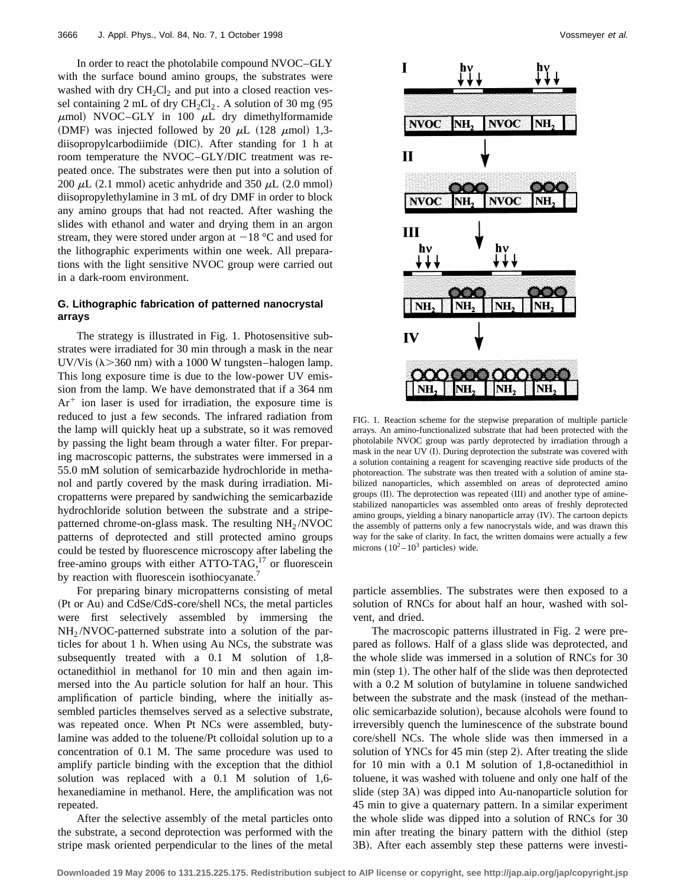In order to react the photolabile compound NVOC–GLY with the surface bound amino groups, the substrates were washed with dry  $CH_2Cl_2$  and put into a closed reaction vessel containing 2 mL of dry  $CH_2Cl_2$ . A solution of 30 mg (95  $\mu$ mol) NVOC–GLY in 100  $\mu$ L dry dimethylformamide (DMF) was injected followed by 20  $\mu$ L (128  $\mu$ mol) 1,3 $diisopropylcarbodimide$  (DIC). After standing for 1 h at room temperature the NVOC–GLY/DIC treatment was repeated once. The substrates were then put into a solution of 200  $\mu$ L (2.1 mmol) acetic anhydride and 350  $\mu$ L (2.0 mmol) diisopropylethylamine in 3 mL of dry DMF in order to block any amino groups that had not reacted. After washing the slides with ethanol and water and drying them in an argon stream, they were stored under argon at  $-18$  °C and used for the lithographic experiments within one week. All preparations with the light sensitive NVOC group were carried out in a dark-room environment.

## **G. Lithographic fabrication of patterned nanocrystal arrays**

The strategy is illustrated in Fig. 1. Photosensitive substrates were irradiated for 30 min through a mask in the near UV/Vis  $(\lambda > 360 \text{ nm})$  with a 1000 W tungsten–halogen lamp. This long exposure time is due to the low-power UV emission from the lamp. We have demonstrated that if a 364 nm  $Ar<sup>+</sup>$  ion laser is used for irradiation, the exposure time is reduced to just a few seconds. The infrared radiation from the lamp will quickly heat up a substrate, so it was removed by passing the light beam through a water filter. For preparing macroscopic patterns, the substrates were immersed in a 55.0 mM solution of semicarbazide hydrochloride in methanol and partly covered by the mask during irradiation. Micropatterns were prepared by sandwiching the semicarbazide hydrochloride solution between the substrate and a stripepatterned chrome-on-glass mask. The resulting  $NH<sub>2</sub>/NVOC$ patterns of deprotected and still protected amino groups could be tested by fluorescence microscopy after labeling the free-amino groups with either ATTO-TAG, $^{17}$  or fluorescein by reaction with fluorescein isothiocyanate.<sup>7</sup>

For preparing binary micropatterns consisting of metal (Pt or Au) and CdSe/CdS-core/shell NCs, the metal particles were first selectively assembled by immersing the  $NH<sub>2</sub>/NVOC-patterned substrate into a solution of the par$ ticles for about 1 h. When using Au NCs, the substrate was subsequently treated with a 0.1 M solution of 1,8 octanedithiol in methanol for 10 min and then again immersed into the Au particle solution for half an hour. This amplification of particle binding, where the initially assembled particles themselves served as a selective substrate, was repeated once. When Pt NCs were assembled, butylamine was added to the toluene/Pt colloidal solution up to a concentration of 0.1 M. The same procedure was used to amplify particle binding with the exception that the dithiol solution was replaced with a 0.1 M solution of 1,6 hexanediamine in methanol. Here, the amplification was not repeated.

After the selective assembly of the metal particles onto the substrate, a second deprotection was performed with the stripe mask oriented perpendicular to the lines of the metal



FIG. 1. Reaction scheme for the stepwise preparation of multiple particle arrays. An amino-functionalized substrate that had been protected with the photolabile NVOC group was partly deprotected by irradiation through a mask in the near UV (I). During deprotection the substrate was covered with a solution containing a reagent for scavenging reactive side products of the photoreaction. The substrate was then treated with a solution of amine stabilized nanoparticles, which assembled on areas of deprotected amino groups (II). The deprotection was repeated (III) and another type of aminestabilized nanoparticles was assembled onto areas of freshly deprotected amino groups, yielding a binary nanoparticle array (IV). The cartoon depicts the assembly of patterns only a few nanocrystals wide, and was drawn this way for the sake of clarity. In fact, the written domains were actually a few microns  $(10^2 - 10^3 \text{ particles})$  wide.

particle assemblies. The substrates were then exposed to a solution of RNCs for about half an hour, washed with solvent, and dried.

The macroscopic patterns illustrated in Fig. 2 were prepared as follows. Half of a glass slide was deprotected, and the whole slide was immersed in a solution of RNCs for 30  $min$  (step 1). The other half of the slide was then deprotected with a 0.2 M solution of butylamine in toluene sandwiched between the substrate and the mask (instead of the methanolic semicarbazide solution), because alcohols were found to irreversibly quench the luminescence of the substrate bound core/shell NCs. The whole slide was then immersed in a solution of YNCs for  $45$  min (step 2). After treating the slide for 10 min with a 0.1 M solution of 1,8-octanedithiol in toluene, it was washed with toluene and only one half of the slide (step 3A) was dipped into Au-nanoparticle solution for 45 min to give a quaternary pattern. In a similar experiment the whole slide was dipped into a solution of RNCs for 30 min after treating the binary pattern with the dithiol (step 3B). After each assembly step these patterns were investi-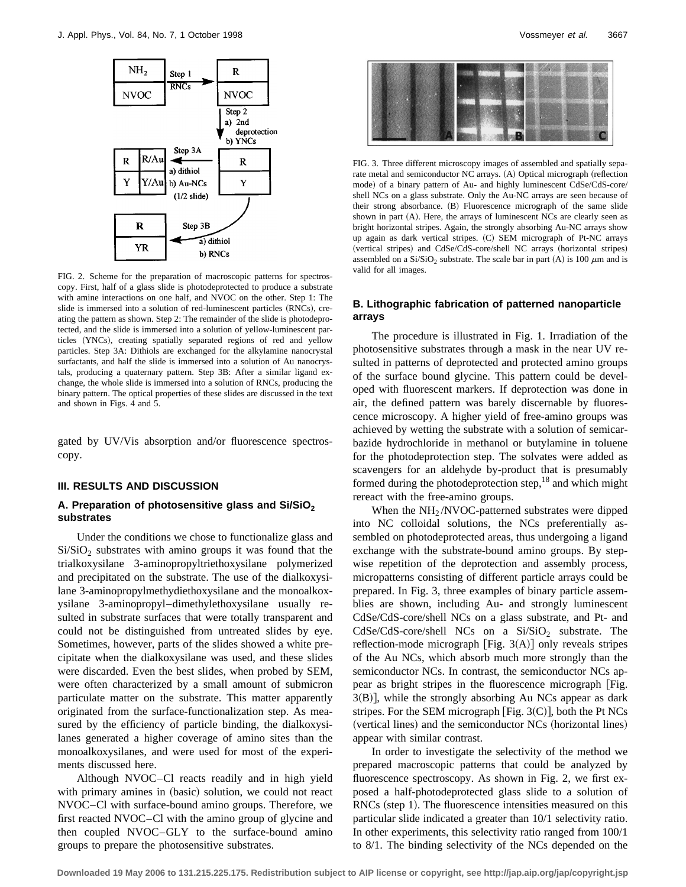

FIG. 2. Scheme for the preparation of macroscopic patterns for spectroscopy. First, half of a glass slide is photodeprotected to produce a substrate with amine interactions on one half, and NVOC on the other. Step 1: The slide is immersed into a solution of red-luminescent particles (RNCs), creating the pattern as shown. Step 2: The remainder of the slide is photodeprotected, and the slide is immersed into a solution of yellow-luminescent particles (YNCs), creating spatially separated regions of red and yellow particles. Step 3A: Dithiols are exchanged for the alkylamine nanocrystal surfactants, and half the slide is immersed into a solution of Au nanocrystals, producing a quaternary pattern. Step 3B: After a similar ligand exchange, the whole slide is immersed into a solution of RNCs, producing the binary pattern. The optical properties of these slides are discussed in the text and shown in Figs. 4 and 5.

gated by UV/Vis absorption and/or fluorescence spectroscopy.

### **III. RESULTS AND DISCUSSION**

## A. Preparation of photosensitive glass and Si/SiO<sub>2</sub> **substrates**

Under the conditions we chose to functionalize glass and  $Si/SiO<sub>2</sub>$  substrates with amino groups it was found that the trialkoxysilane 3-aminopropyltriethoxysilane polymerized and precipitated on the substrate. The use of the dialkoxysilane 3-aminopropylmethydiethoxysilane and the monoalkoxysilane 3-aminopropyl–dimethylethoxysilane usually resulted in substrate surfaces that were totally transparent and could not be distinguished from untreated slides by eye. Sometimes, however, parts of the slides showed a white precipitate when the dialkoxysilane was used, and these slides were discarded. Even the best slides, when probed by SEM, were often characterized by a small amount of submicron particulate matter on the substrate. This matter apparently originated from the surface-functionalization step. As measured by the efficiency of particle binding, the dialkoxysilanes generated a higher coverage of amino sites than the monoalkoxysilanes, and were used for most of the experiments discussed here.

Although NVOC–Cl reacts readily and in high yield with primary amines in (basic) solution, we could not react NVOC–Cl with surface-bound amino groups. Therefore, we first reacted NVOC–Cl with the amino group of glycine and then coupled NVOC–GLY to the surface-bound amino groups to prepare the photosensitive substrates.



FIG. 3. Three different microscopy images of assembled and spatially separate metal and semiconductor NC arrays. (A) Optical micrograph (reflection mode) of a binary pattern of Au- and highly luminescent CdSe/CdS-core/ shell NCs on a glass substrate. Only the Au-NC arrays are seen because of their strong absorbance. (B) Fluorescence micrograph of the same slide shown in part (A). Here, the arrays of luminescent NCs are clearly seen as bright horizontal stripes. Again, the strongly absorbing Au-NC arrays show up again as dark vertical stripes. (C) SEM micrograph of Pt-NC arrays (vertical stripes) and CdSe/CdS-core/shell NC arrays (horizontal stripes) assembled on a  $Si/SiO<sub>2</sub>$  substrate. The scale bar in part (A) is 100  $\mu$ m and is valid for all images.

## **B. Lithographic fabrication of patterned nanoparticle arrays**

The procedure is illustrated in Fig. 1. Irradiation of the photosensitive substrates through a mask in the near UV resulted in patterns of deprotected and protected amino groups of the surface bound glycine. This pattern could be developed with fluorescent markers. If deprotection was done in air, the defined pattern was barely discernable by fluorescence microscopy. A higher yield of free-amino groups was achieved by wetting the substrate with a solution of semicarbazide hydrochloride in methanol or butylamine in toluene for the photodeprotection step. The solvates were added as scavengers for an aldehyde by-product that is presumably formed during the photodeprotection step, $^{18}$  and which might rereact with the free-amino groups.

When the  $NH<sub>2</sub>/NVOC$ -patterned substrates were dipped into NC colloidal solutions, the NCs preferentially assembled on photodeprotected areas, thus undergoing a ligand exchange with the substrate-bound amino groups. By stepwise repetition of the deprotection and assembly process, micropatterns consisting of different particle arrays could be prepared. In Fig. 3, three examples of binary particle assemblies are shown, including Au- and strongly luminescent CdSe/CdS-core/shell NCs on a glass substrate, and Pt- and  $CdSe/CdS-core/shell NCs$  on a  $Si/SiO<sub>2</sub>$  substrate. The reflection-mode micrograph [Fig.  $3(A)$ ] only reveals stripes of the Au NCs, which absorb much more strongly than the semiconductor NCs. In contrast, the semiconductor NCs appear as bright stripes in the fluorescence micrograph [Fig.  $3(B)$ , while the strongly absorbing Au NCs appear as dark stripes. For the SEM micrograph [Fig.  $3(C)$ ], both the Pt NCs (vertical lines) and the semiconductor NCs (horizontal lines) appear with similar contrast.

In order to investigate the selectivity of the method we prepared macroscopic patterns that could be analyzed by fluorescence spectroscopy. As shown in Fig. 2, we first exposed a half-photodeprotected glass slide to a solution of  $RNCs$  (step 1). The fluorescence intensities measured on this particular slide indicated a greater than 10/1 selectivity ratio. In other experiments, this selectivity ratio ranged from 100/1 to 8/1. The binding selectivity of the NCs depended on the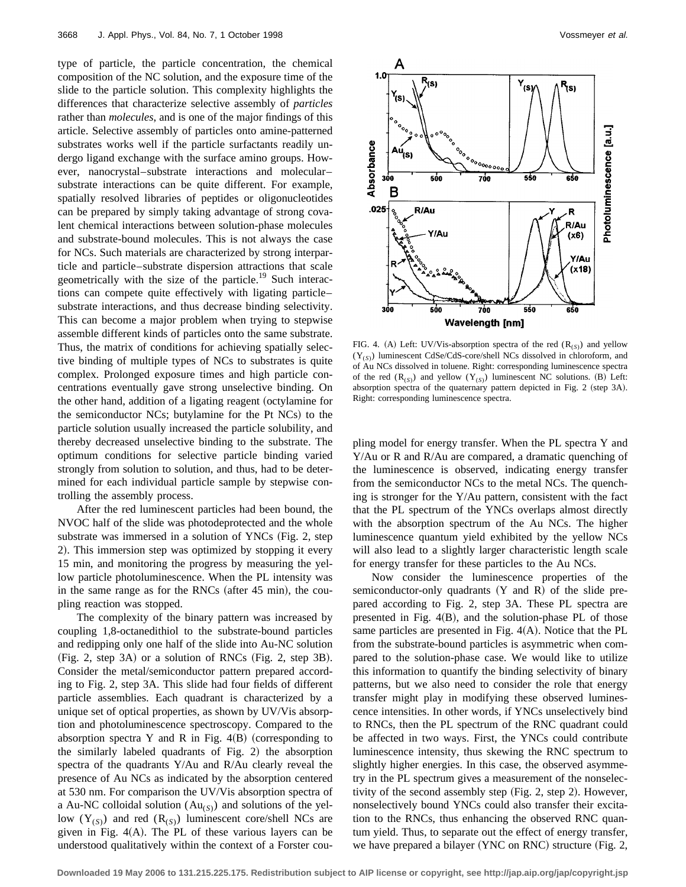type of particle, the particle concentration, the chemical composition of the NC solution, and the exposure time of the slide to the particle solution. This complexity highlights the differences that characterize selective assembly of *particles* rather than *molecules*, and is one of the major findings of this article. Selective assembly of particles onto amine-patterned substrates works well if the particle surfactants readily undergo ligand exchange with the surface amino groups. However, nanocrystal–substrate interactions and molecular– substrate interactions can be quite different. For example, spatially resolved libraries of peptides or oligonucleotides can be prepared by simply taking advantage of strong covalent chemical interactions between solution-phase molecules and substrate-bound molecules. This is not always the case for NCs. Such materials are characterized by strong interparticle and particle–substrate dispersion attractions that scale geometrically with the size of the particle.<sup>19</sup> Such interactions can compete quite effectively with ligating particle– substrate interactions, and thus decrease binding selectivity. This can become a major problem when trying to stepwise assemble different kinds of particles onto the same substrate. Thus, the matrix of conditions for achieving spatially selective binding of multiple types of NCs to substrates is quite complex. Prolonged exposure times and high particle concentrations eventually gave strong unselective binding. On the other hand, addition of a ligating reagent (octylamine for the semiconductor NCs; butylamine for the Pt NCs) to the particle solution usually increased the particle solubility, and thereby decreased unselective binding to the substrate. The optimum conditions for selective particle binding varied strongly from solution to solution, and thus, had to be determined for each individual particle sample by stepwise controlling the assembly process.

After the red luminescent particles had been bound, the NVOC half of the slide was photodeprotected and the whole substrate was immersed in a solution of YNCs  $(Fig. 2, step)$ 2). This immersion step was optimized by stopping it every 15 min, and monitoring the progress by measuring the yellow particle photoluminescence. When the PL intensity was in the same range as for the RNCs (after  $45$  min), the coupling reaction was stopped.

The complexity of the binary pattern was increased by coupling 1,8-octanedithiol to the substrate-bound particles and redipping only one half of the slide into Au-NC solution  $(Fig. 2, step 3A)$  or a solution of RNCs  $(Fig. 2, step 3B)$ . Consider the metal/semiconductor pattern prepared according to Fig. 2, step 3A. This slide had four fields of different particle assemblies. Each quadrant is characterized by a unique set of optical properties, as shown by UV/Vis absorption and photoluminescence spectroscopy. Compared to the absorption spectra Y and R in Fig.  $4(B)$  (corresponding to the similarly labeled quadrants of Fig.  $2$ ) the absorption spectra of the quadrants Y/Au and R/Au clearly reveal the presence of Au NCs as indicated by the absorption centered at 530 nm. For comparison the UV/Vis absorption spectra of a Au-NC colloidal solution  $(Au_{(S)})$  and solutions of the yellow  $(Y_{(S)})$  and red  $(R_{(S)})$  luminescent core/shell NCs are given in Fig.  $4(A)$ . The PL of these various layers can be understood qualitatively within the context of a Forster cou-



FIG. 4. (A) Left: UV/Vis-absorption spectra of the red  $(R_{(S)})$  and yellow (Y(*S*)) luminescent CdSe/CdS-core/shell NCs dissolved in chloroform, and of Au NCs dissolved in toluene. Right: corresponding luminescence spectra of the red  $(R_{(S)})$  and yellow  $(Y_{(S)})$  luminescent NC solutions. (B) Left: absorption spectra of the quaternary pattern depicted in Fig. 2 (step 3A). Right: corresponding luminescence spectra.

pling model for energy transfer. When the PL spectra Y and Y/Au or R and R/Au are compared, a dramatic quenching of the luminescence is observed, indicating energy transfer from the semiconductor NCs to the metal NCs. The quenching is stronger for the Y/Au pattern, consistent with the fact that the PL spectrum of the YNCs overlaps almost directly with the absorption spectrum of the Au NCs. The higher luminescence quantum yield exhibited by the yellow NCs will also lead to a slightly larger characteristic length scale for energy transfer for these particles to the Au NCs.

Now consider the luminescence properties of the semiconductor-only quadrants  $(Y \text{ and } R)$  of the slide prepared according to Fig. 2, step 3A. These PL spectra are presented in Fig.  $4(B)$ , and the solution-phase PL of those same particles are presented in Fig.  $4(A)$ . Notice that the PL from the substrate-bound particles is asymmetric when compared to the solution-phase case. We would like to utilize this information to quantify the binding selectivity of binary patterns, but we also need to consider the role that energy transfer might play in modifying these observed luminescence intensities. In other words, if YNCs unselectively bind to RNCs, then the PL spectrum of the RNC quadrant could be affected in two ways. First, the YNCs could contribute luminescence intensity, thus skewing the RNC spectrum to slightly higher energies. In this case, the observed asymmetry in the PL spectrum gives a measurement of the nonselectivity of the second assembly step  $(Fig. 2, \text{step } 2)$ . However, nonselectively bound YNCs could also transfer their excitation to the RNCs, thus enhancing the observed RNC quantum yield. Thus, to separate out the effect of energy transfer, we have prepared a bilayer  $(YNC$  on RNC) structure  $(Fig. 2,$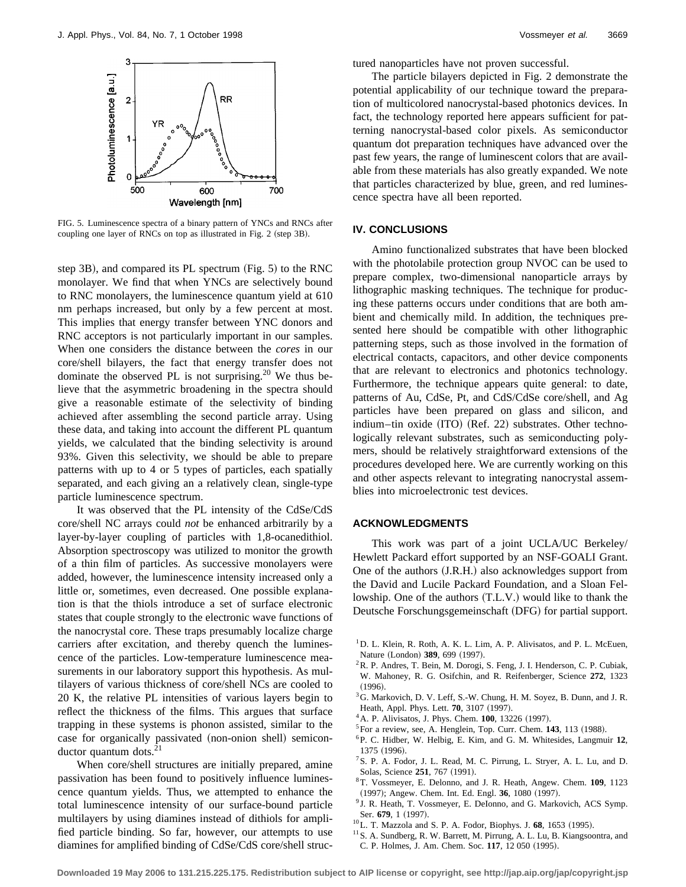

FIG. 5. Luminescence spectra of a binary pattern of YNCs and RNCs after coupling one layer of RNCs on top as illustrated in Fig. 2 (step 3B).

step  $3B$ ), and compared its PL spectrum (Fig. 5) to the RNC monolayer. We find that when YNCs are selectively bound to RNC monolayers, the luminescence quantum yield at 610 nm perhaps increased, but only by a few percent at most. This implies that energy transfer between YNC donors and RNC acceptors is not particularly important in our samples. When one considers the distance between the *cores* in our core/shell bilayers, the fact that energy transfer does not dominate the observed PL is not surprising.<sup>20</sup> We thus believe that the asymmetric broadening in the spectra should give a reasonable estimate of the selectivity of binding achieved after assembling the second particle array. Using these data, and taking into account the different PL quantum yields, we calculated that the binding selectivity is around 93%. Given this selectivity, we should be able to prepare patterns with up to 4 or 5 types of particles, each spatially separated, and each giving an a relatively clean, single-type particle luminescence spectrum.

It was observed that the PL intensity of the CdSe/CdS core/shell NC arrays could *not* be enhanced arbitrarily by a layer-by-layer coupling of particles with 1,8-ocanedithiol. Absorption spectroscopy was utilized to monitor the growth of a thin film of particles. As successive monolayers were added, however, the luminescence intensity increased only a little or, sometimes, even decreased. One possible explanation is that the thiols introduce a set of surface electronic states that couple strongly to the electronic wave functions of the nanocrystal core. These traps presumably localize charge carriers after excitation, and thereby quench the luminescence of the particles. Low-temperature luminescence measurements in our laboratory support this hypothesis. As multilayers of various thickness of core/shell NCs are cooled to 20 K, the relative PL intensities of various layers begin to reflect the thickness of the films. This argues that surface trapping in these systems is phonon assisted, similar to the case for organically passivated (non-onion shell) semiconductor quantum dots. ${}^{2}$ 

When core/shell structures are initially prepared, amine passivation has been found to positively influence luminescence quantum yields. Thus, we attempted to enhance the total luminescence intensity of our surface-bound particle multilayers by using diamines instead of dithiols for amplified particle binding. So far, however, our attempts to use diamines for amplified binding of CdSe/CdS core/shell structured nanoparticles have not proven successful.

The particle bilayers depicted in Fig. 2 demonstrate the potential applicability of our technique toward the preparation of multicolored nanocrystal-based photonics devices. In fact, the technology reported here appears sufficient for patterning nanocrystal-based color pixels. As semiconductor quantum dot preparation techniques have advanced over the past few years, the range of luminescent colors that are available from these materials has also greatly expanded. We note that particles characterized by blue, green, and red luminescence spectra have all been reported.

# **IV. CONCLUSIONS**

Amino functionalized substrates that have been blocked with the photolabile protection group NVOC can be used to prepare complex, two-dimensional nanoparticle arrays by lithographic masking techniques. The technique for producing these patterns occurs under conditions that are both ambient and chemically mild. In addition, the techniques presented here should be compatible with other lithographic patterning steps, such as those involved in the formation of electrical contacts, capacitors, and other device components that are relevant to electronics and photonics technology. Furthermore, the technique appears quite general: to date, patterns of Au, CdSe, Pt, and CdS/CdSe core/shell, and Ag particles have been prepared on glass and silicon, and indium–tin oxide (ITO) (Ref. 22) substrates. Other technologically relevant substrates, such as semiconducting polymers, should be relatively straightforward extensions of the procedures developed here. We are currently working on this and other aspects relevant to integrating nanocrystal assemblies into microelectronic test devices.

#### **ACKNOWLEDGMENTS**

This work was part of a joint UCLA/UC Berkeley/ Hewlett Packard effort supported by an NSF-GOALI Grant. One of the authors (J.R.H.) also acknowledges support from the David and Lucile Packard Foundation, and a Sloan Fellowship. One of the authors (T.L.V.) would like to thank the Deutsche Forschungsgemeinschaft (DFG) for partial support.

- $1$ D. L. Klein, R. Roth, A. K. L. Lim, A. P. Alivisatos, and P. L. McEuen, Nature (London) 389, 699 (1997).
- <sup>2</sup>R. P. Andres, T. Bein, M. Dorogi, S. Feng, J. I. Henderson, C. P. Cubiak, W. Mahoney, R. G. Osifchin, and R. Reifenberger, Science **272**, 1323  $(1996).$
- <sup>3</sup>G. Markovich, D. V. Leff, S.-W. Chung, H. M. Soyez, B. Dunn, and J. R. Heath, Appl. Phys. Lett. **70**, 3107 (1997).
- <sup>4</sup> A. P. Alivisatos, J. Phys. Chem. **100**, 13226 (1997).
- ${}^5$ For a review, see, A. Henglein, Top. Curr. Chem. **143**, 113 (1988).
- 6P. C. Hidber, W. Helbig, E. Kim, and G. M. Whitesides, Langmuir **12**, 1375 (1996).
- 7S. P. A. Fodor, J. L. Read, M. C. Pirrung, L. Stryer, A. L. Lu, and D. Solas, Science 251, 767 (1991).
- 8T. Vossmeyer, E. Delonno, and J. R. Heath, Angew. Chem. **109**, 1123 (1997); Angew. Chem. Int. Ed. Engl. 36, 1080 (1997).
- <sup>9</sup> J. R. Heath, T. Vossmeyer, E. DeIonno, and G. Markovich, ACS Symp. Ser. 679, 1 (1997).
- <sup>10</sup>L. T. Mazzola and S. P. A. Fodor, Biophys. J. **68**, 1653 (1995).
- <sup>11</sup> S. A. Sundberg, R. W. Barrett, M. Pirrung, A. L. Lu, B. Kiangsoontra, and C. P. Holmes, J. Am. Chem. Soc. 117, 12 050 (1995).